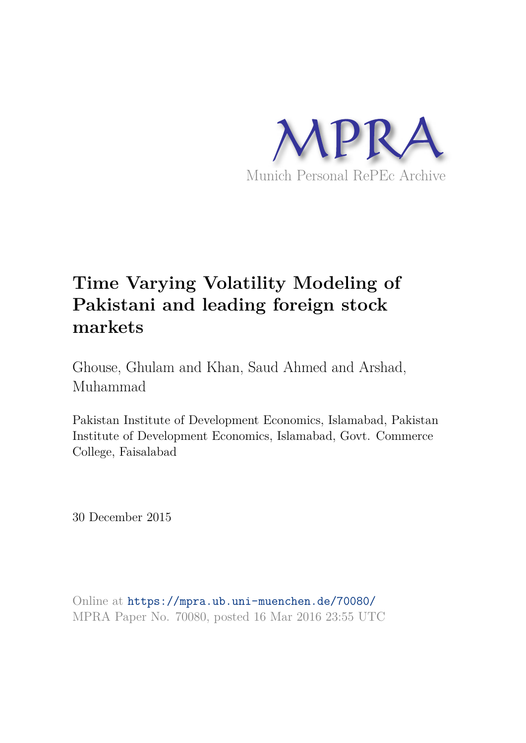

# **Time Varying Volatility Modeling of Pakistani and leading foreign stock markets**

Ghouse, Ghulam and Khan, Saud Ahmed and Arshad, Muhammad

Pakistan Institute of Development Economics, Islamabad, Pakistan Institute of Development Economics, Islamabad, Govt. Commerce College, Faisalabad

30 December 2015

Online at https://mpra.ub.uni-muenchen.de/70080/ MPRA Paper No. 70080, posted 16 Mar 2016 23:55 UTC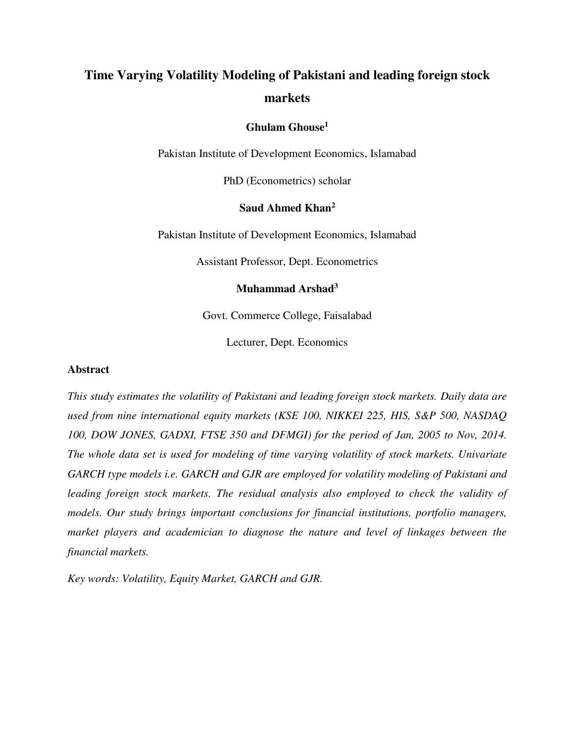## **Time Varying Volatility Modeling of Pakistani and leading foreign stock markets**

## **Ghulam Ghouse<sup>1</sup>**

Pakistan Institute of Development Economics, Islamabad

PhD (Econometrics) scholar

## **Saud Ahmed Khan<sup>2</sup>**

Pakistan Institute of Development Economics, Islamabad

Assistant Professor, Dept. Econometrics

## **Muhammad Arshad<sup>3</sup>**

Govt. Commerce College, Faisalabad

Lecturer, Dept. Economics

#### **Abstract**

*This study estimates the volatility of Pakistani and leading foreign stock markets. Daily data are used from nine international equity markets (KSE 100, NIKKEI 225, HIS, S&P 500, NASDAQ 100, DOW JONES, GADXI, FTSE 350 and DFMGI) for the period of Jan, 2005 to Nov, 2014. The whole data set is used for modeling of time varying volatility of stock markets. Univariate GARCH type models i.e. GARCH and GJR are employed for volatility modeling of Pakistani and*  leading foreign stock markets. The residual analysis also employed to check the validity of *models. Our study brings important conclusions for financial institutions, portfolio managers, market players and academician to diagnose the nature and level of linkages between the financial markets.* 

*Key words: Volatility, Equity Market, GARCH and GJR.*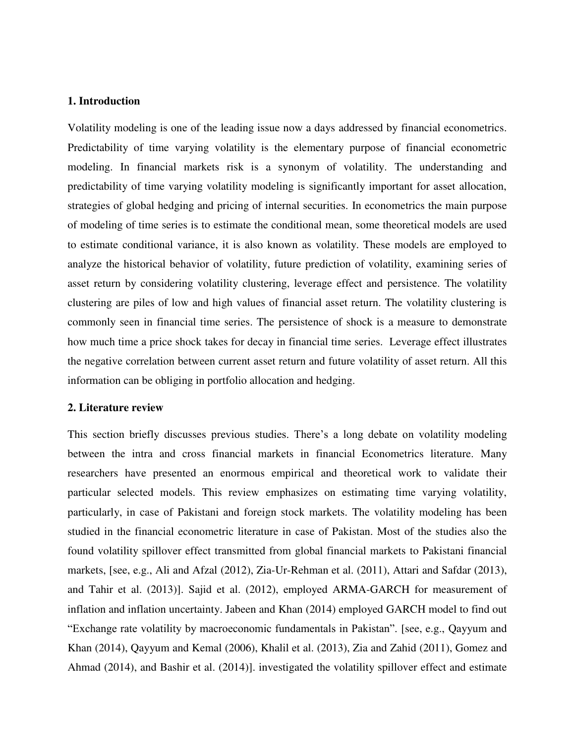## **1. Introduction**

Volatility modeling is one of the leading issue now a days addressed by financial econometrics. Predictability of time varying volatility is the elementary purpose of financial econometric modeling. In financial markets risk is a synonym of volatility. The understanding and predictability of time varying volatility modeling is significantly important for asset allocation, strategies of global hedging and pricing of internal securities. In econometrics the main purpose of modeling of time series is to estimate the conditional mean, some theoretical models are used to estimate conditional variance, it is also known as volatility. These models are employed to analyze the historical behavior of volatility, future prediction of volatility, examining series of asset return by considering volatility clustering, leverage effect and persistence. The volatility clustering are piles of low and high values of financial asset return. The volatility clustering is commonly seen in financial time series. The persistence of shock is a measure to demonstrate how much time a price shock takes for decay in financial time series. Leverage effect illustrates the negative correlation between current asset return and future volatility of asset return. All this information can be obliging in portfolio allocation and hedging.

## **2. Literature review**

This section briefly discusses previous studies. There's a long debate on volatility modeling between the intra and cross financial markets in financial Econometrics literature. Many researchers have presented an enormous empirical and theoretical work to validate their particular selected models. This review emphasizes on estimating time varying volatility, particularly, in case of Pakistani and foreign stock markets. The volatility modeling has been studied in the financial econometric literature in case of Pakistan. Most of the studies also the found volatility spillover effect transmitted from global financial markets to Pakistani financial markets, [see, e.g., Ali and Afzal (2012), Zia-Ur-Rehman et al. (2011), Attari and Safdar (2013), and Tahir et al. (2013)]. Sajid et al. (2012), employed ARMA-GARCH for measurement of inflation and inflation uncertainty. Jabeen and Khan (2014) employed GARCH model to find out "Exchange rate volatility by macroeconomic fundamentals in Pakistan". [see, e.g., Qayyum and Khan (2014), Qayyum and Kemal (2006), Khalil et al. (2013), Zia and Zahid (2011), Gomez and Ahmad (2014), and Bashir et al. (2014)]. investigated the volatility spillover effect and estimate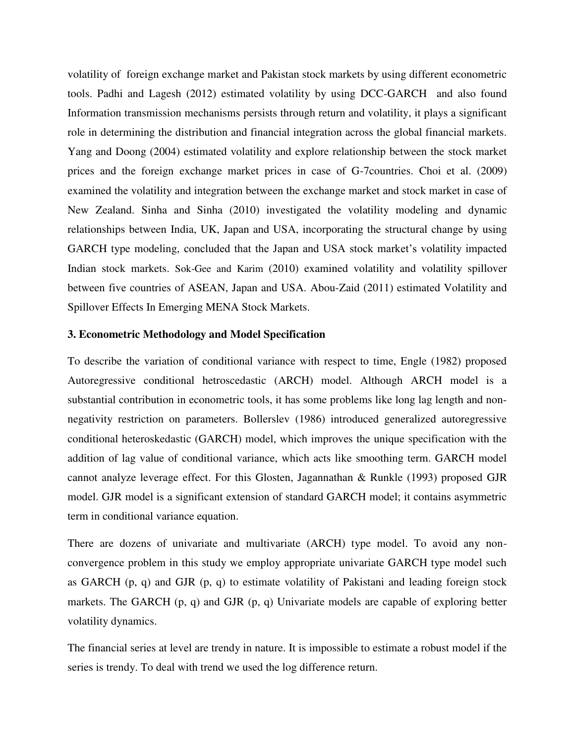volatility of foreign exchange market and Pakistan stock markets by using different econometric tools. Padhi and Lagesh (2012) estimated volatility by using DCC-GARCH and also found Information transmission mechanisms persists through return and volatility, it plays a significant role in determining the distribution and financial integration across the global financial markets. Yang and Doong (2004) estimated volatility and explore relationship between the stock market prices and the foreign exchange market prices in case of G-7countries. Choi et al. (2009) examined the volatility and integration between the exchange market and stock market in case of New Zealand. Sinha and Sinha (2010) investigated the volatility modeling and dynamic relationships between India, UK, Japan and USA, incorporating the structural change by using GARCH type modeling, concluded that the Japan and USA stock market's volatility impacted Indian stock markets. Sok-Gee and Karim (2010) examined volatility and volatility spillover between five countries of ASEAN, Japan and USA. Abou-Zaid (2011) estimated Volatility and Spillover Effects In Emerging MENA Stock Markets.

#### **3. Econometric Methodology and Model Specification**

To describe the variation of conditional variance with respect to time, Engle (1982) proposed Autoregressive conditional hetroscedastic (ARCH) model. Although ARCH model is a substantial contribution in econometric tools, it has some problems like long lag length and nonnegativity restriction on parameters. Bollerslev (1986) introduced generalized autoregressive conditional heteroskedastic (GARCH) model, which improves the unique specification with the addition of lag value of conditional variance, which acts like smoothing term. GARCH model cannot analyze leverage effect. For this Glosten, Jagannathan & Runkle (1993) proposed GJR model. GJR model is a significant extension of standard GARCH model; it contains asymmetric term in conditional variance equation.

There are dozens of univariate and multivariate (ARCH) type model. To avoid any nonconvergence problem in this study we employ appropriate univariate GARCH type model such as GARCH (p, q) and GJR (p, q) to estimate volatility of Pakistani and leading foreign stock markets. The GARCH (p, q) and GJR (p, q) Univariate models are capable of exploring better volatility dynamics.

The financial series at level are trendy in nature. It is impossible to estimate a robust model if the series is trendy. To deal with trend we used the log difference return.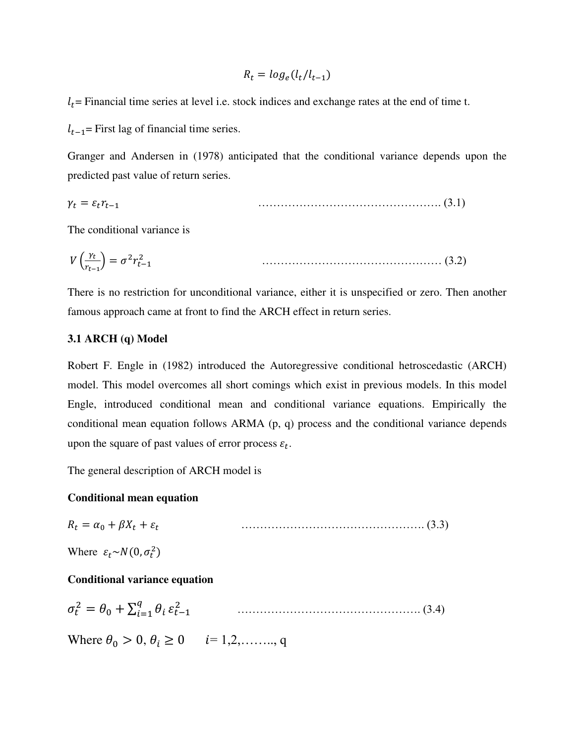$$
R_t = \log_e(l_t/l_{t-1})
$$

 $l_t$  = Financial time series at level i.e. stock indices and exchange rates at the end of time t.

 $l_{t-1}$ = First lag of financial time series.

Granger and Andersen in (1978) anticipated that the conditional variance depends upon the predicted past value of return series.

$$
\gamma_t = \varepsilon_t \gamma_{t-1} \tag{3.1}
$$

The conditional variance is

$$
V\left(\frac{\gamma_t}{r_{t-1}}\right) = \sigma^2 r_{t-1}^2 \tag{3.2}
$$

There is no restriction for unconditional variance, either it is unspecified or zero. Then another famous approach came at front to find the ARCH effect in return series.

#### **3.1 ARCH (q) Model**

Robert F. Engle in (1982) introduced the Autoregressive conditional hetroscedastic (ARCH) model. This model overcomes all short comings which exist in previous models. In this model Engle, introduced conditional mean and conditional variance equations. Empirically the conditional mean equation follows ARMA (p, q) process and the conditional variance depends upon the square of past values of error process  $\varepsilon_t$ .

The general description of ARCH model is

## **Conditional mean equation**

$$
R_t = \alpha_0 + \beta X_t + \varepsilon_t \tag{3.3}
$$

Where  $\varepsilon_t \sim N(0, \sigma_t^2)$ 

## **Conditional variance equation**

$$
\sigma_t^2 = \theta_0 + \sum_{i=1}^q \theta_i \, \varepsilon_{t-1}^2 \tag{3.4}
$$

Where  $\theta_0 > 0$ ,  $\theta_i \ge 0$   $i=1,2,\ldots, q$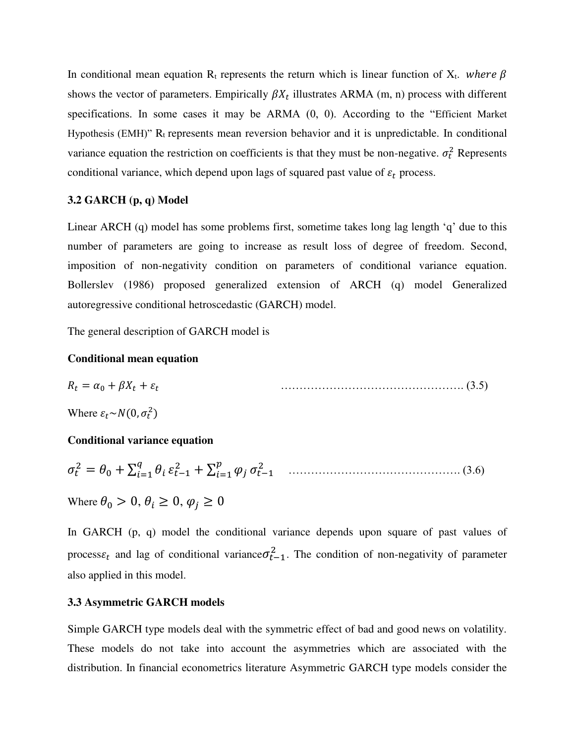In conditional mean equation R<sub>t</sub> represents the return which is linear function of X<sub>t</sub>. where  $\beta$ shows the vector of parameters. Empirically  $\beta X_t$  illustrates ARMA (m, n) process with different specifications. In some cases it may be ARMA (0, 0). According to the "Efficient Market Hypothesis (EMH)" Rt represents mean reversion behavior and it is unpredictable. In conditional variance equation the restriction on coefficients is that they must be non-negative.  $\sigma_t^2$  Represents conditional variance, which depend upon lags of squared past value of  $\varepsilon_t$  process.

## **3.2 GARCH (p, q) Model**

Linear ARCH (q) model has some problems first, sometime takes long lag length 'q' due to this number of parameters are going to increase as result loss of degree of freedom. Second, imposition of non-negativity condition on parameters of conditional variance equation. Bollerslev (1986) proposed generalized extension of ARCH (q) model Generalized autoregressive conditional hetroscedastic (GARCH) model.

The general description of GARCH model is

## **Conditional mean equation**

$$
R_t = \alpha_0 + \beta X_t + \varepsilon_t \tag{3.5}
$$

Where  $\varepsilon_t \sim N(0, \sigma_t^2)$ 

## **Conditional variance equation**

 <sup>2</sup> = <sup>0</sup> + ∑ =1 −1 <sup>2</sup> + ∑ =1 −1 2 ………………………………………. (3.6)

Where  $\theta_0 > 0$ ,  $\theta_i \geq 0$ ,  $\varphi_i \geq 0$ 

In GARCH (p, q) model the conditional variance depends upon square of past values of process $\varepsilon_t$  and lag of conditional variance $\sigma_{t-1}^2$ . The condition of non-negativity of parameter also applied in this model.

#### **3.3 Asymmetric GARCH models**

Simple GARCH type models deal with the symmetric effect of bad and good news on volatility. These models do not take into account the asymmetries which are associated with the distribution. In financial econometrics literature Asymmetric GARCH type models consider the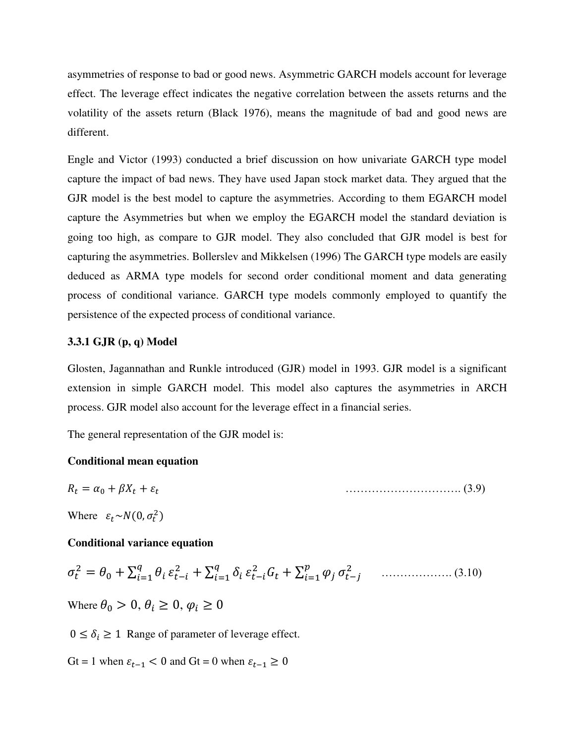asymmetries of response to bad or good news. Asymmetric GARCH models account for leverage effect. The leverage effect indicates the negative correlation between the assets returns and the volatility of the assets return (Black 1976), means the magnitude of bad and good news are different.

Engle and Victor (1993) conducted a brief discussion on how univariate GARCH type model capture the impact of bad news. They have used Japan stock market data. They argued that the GJR model is the best model to capture the asymmetries. According to them EGARCH model capture the Asymmetries but when we employ the EGARCH model the standard deviation is going too high, as compare to GJR model. They also concluded that GJR model is best for capturing the asymmetries. Bollerslev and Mikkelsen (1996) The GARCH type models are easily deduced as ARMA type models for second order conditional moment and data generating process of conditional variance. GARCH type models commonly employed to quantify the persistence of the expected process of conditional variance.

## **3.3.1 GJR (p, q) Model**

Glosten, Jagannathan and Runkle introduced (GJR) model in 1993. GJR model is a significant extension in simple GARCH model. This model also captures the asymmetries in ARCH process. GJR model also account for the leverage effect in a financial series.

The general representation of the GJR model is:

## **Conditional mean equation**

$$
R_t = \alpha_0 + \beta X_t + \varepsilon_t \tag{3.9}
$$

Where  $\varepsilon_t \sim N(0, \sigma_t^2)$ 

## **Conditional variance equation**

$$
\sigma_t^2 = \theta_0 + \sum_{i=1}^q \theta_i \, \varepsilon_{t-i}^2 + \sum_{i=1}^q \delta_i \, \varepsilon_{t-i}^2 G_t + \sum_{i=1}^p \varphi_i \, \sigma_{t-j}^2 \qquad \qquad (3.10)
$$

Where  $\theta_0 > 0$ ,  $\theta_i \geq 0$ ,  $\varphi_i \geq 0$ 

 $0 \leq \delta_i \geq 1$  Range of parameter of leverage effect.

$$
Gt = 1 \text{ when } \varepsilon_{t-1} < 0 \text{ and } Gt = 0 \text{ when } \varepsilon_{t-1} \ge 0
$$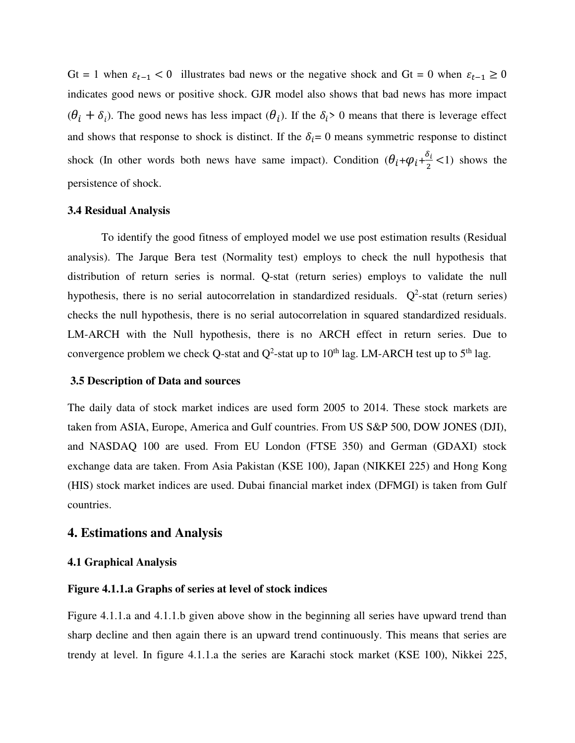Gt = 1 when  $\varepsilon_{t-1}$  < 0 illustrates bad news or the negative shock and Gt = 0 when  $\varepsilon_{t-1} \ge 0$ indicates good news or positive shock. GJR model also shows that bad news has more impact  $(\theta_i + \delta_i)$ . The good news has less impact  $(\theta_i)$ . If the  $\delta_i$  o means that there is leverage effect and shows that response to shock is distinct. If the  $\delta_i = 0$  means symmetric response to distinct shock (In other words both news have same impact). Condition  $(\theta_i+\varphi_i+\frac{\delta_i}{2})$  $\frac{v_1}{2}$  <1) shows the persistence of shock.

## **3.4 Residual Analysis**

To identify the good fitness of employed model we use post estimation results (Residual analysis). The Jarque Bera test (Normality test) employs to check the null hypothesis that distribution of return series is normal. Q-stat (return series) employs to validate the null hypothesis, there is no serial autocorrelation in standardized residuals.  $Q^2$ -stat (return series) checks the null hypothesis, there is no serial autocorrelation in squared standardized residuals. LM-ARCH with the Null hypothesis, there is no ARCH effect in return series. Due to convergence problem we check Q-stat and  $Q^2$ -stat up to 10<sup>th</sup> lag. LM-ARCH test up to 5<sup>th</sup> lag.

## **3.5 Description of Data and sources**

The daily data of stock market indices are used form 2005 to 2014. These stock markets are taken from ASIA, Europe, America and Gulf countries. From US S&P 500, DOW JONES (DJI), and NASDAQ 100 are used. From EU London (FTSE 350) and German (GDAXI) stock exchange data are taken. From Asia Pakistan (KSE 100), Japan (NIKKEI 225) and Hong Kong (HIS) stock market indices are used. Dubai financial market index (DFMGI) is taken from Gulf countries.

## **4. Estimations and Analysis**

## **4.1 Graphical Analysis**

## **Figure 4.1.1.a Graphs of series at level of stock indices**

Figure 4.1.1.a and 4.1.1.b given above show in the beginning all series have upward trend than sharp decline and then again there is an upward trend continuously. This means that series are trendy at level. In figure 4.1.1.a the series are Karachi stock market (KSE 100), Nikkei 225,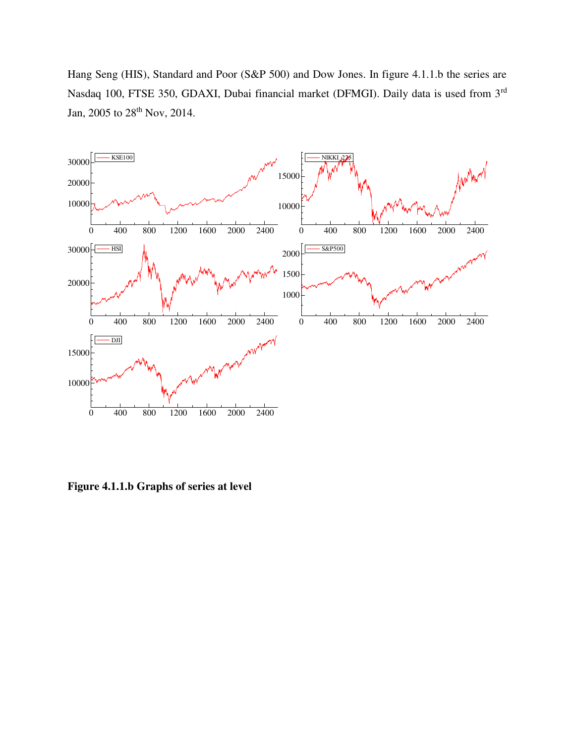Hang Seng (HIS), Standard and Poor (S&P 500) and Dow Jones. In figure 4.1.1.b the series are Nasdaq 100, FTSE 350, GDAXI, Dubai financial market (DFMGI). Daily data is used from 3rd Jan, 2005 to 28<sup>th</sup> Nov, 2014.



**Figure 4.1.1.b Graphs of series at level**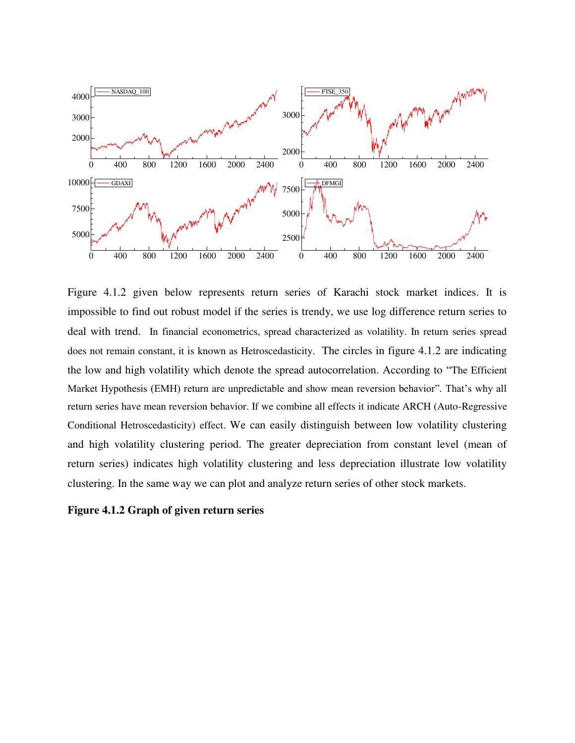

Figure 4.1.2 given below represents return series of Karachi stock market indices. It is impossible to find out robust model if the series is trendy, we use log difference return series to deal with trend. In financial econometrics, spread characterized as volatility. In return series spread does not remain constant, it is known as Hetroscedasticity. The circles in figure 4.1.2 are indicating the low and high volatility which denote the spread autocorrelation. According to "The Efficient Market Hypothesis (EMH) return are unpredictable and show mean reversion behavior". That's why all return series have mean reversion behavior. If we combine all effects it indicate ARCH (Auto-Regressive Conditional Hetroscedasticity) effect. We can easily distinguish between low volatility clustering and high volatility clustering period. The greater depreciation from constant level (mean of return series) indicates high volatility clustering and less depreciation illustrate low volatility clustering. In the same way we can plot and analyze return series of other stock markets.

## **Figure 4.1.2 Graph of given return series**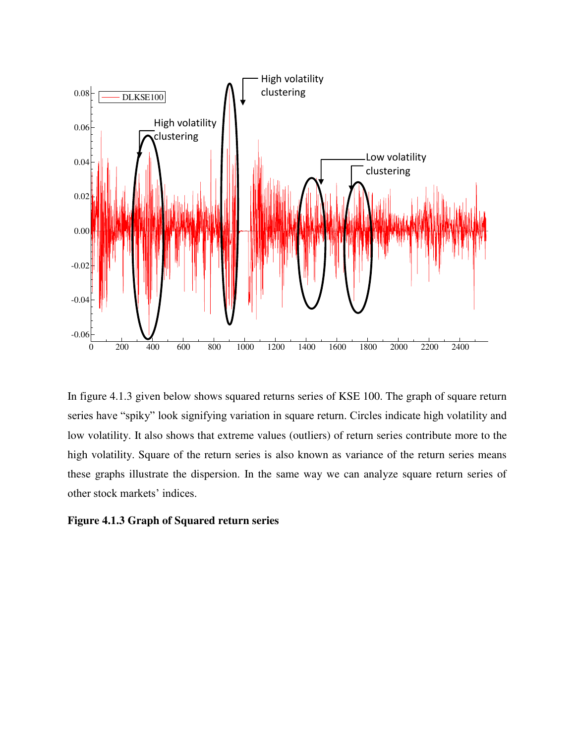

In figure 4.1.3 given below shows squared returns series of KSE 100. The graph of square return series have "spiky" look signifying variation in square return. Circles indicate high volatility and low volatility. It also shows that extreme values (outliers) of return series contribute more to the high volatility. Square of the return series is also known as variance of the return series means these graphs illustrate the dispersion. In the same way we can analyze square return series of other stock markets' indices.

#### **Figure 4.1.3 Graph of Squared return series**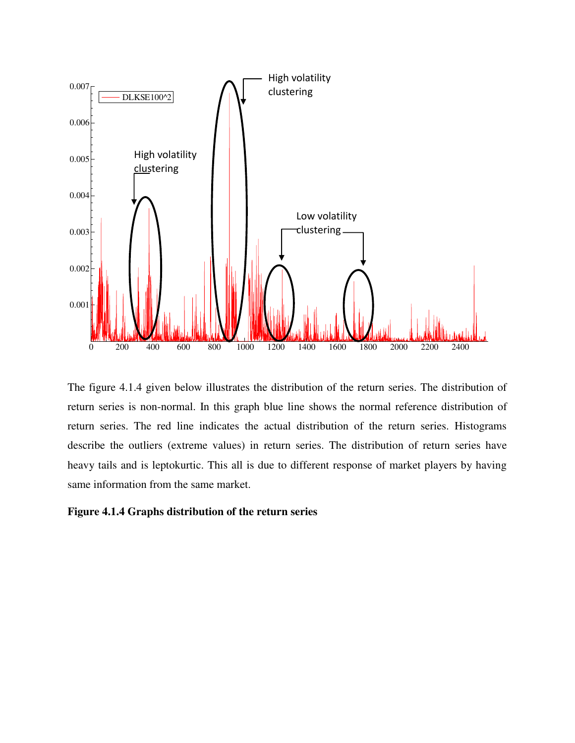

The figure 4.1.4 given below illustrates the distribution of the return series. The distribution of return series is non-normal. In this graph blue line shows the normal reference distribution of return series. The red line indicates the actual distribution of the return series. Histograms describe the outliers (extreme values) in return series. The distribution of return series have heavy tails and is leptokurtic. This all is due to different response of market players by having same information from the same market.

## **Figure 4.1.4 Graphs distribution of the return series**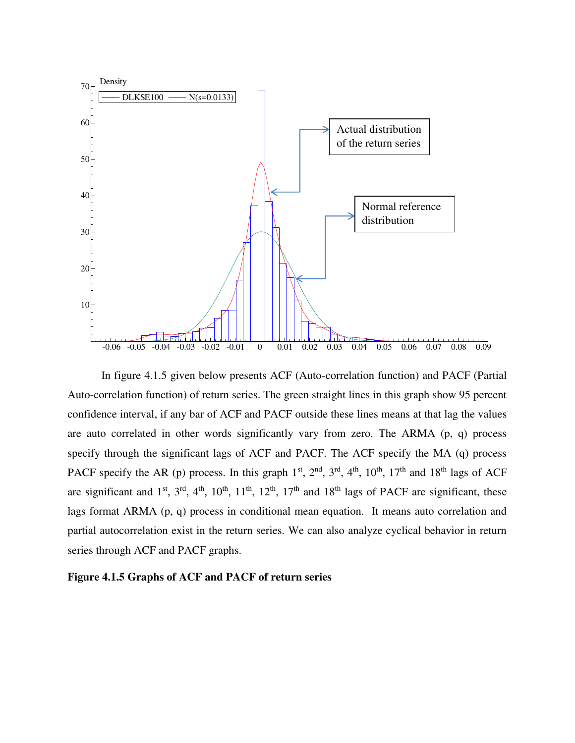

In figure 4.1.5 given below presents ACF (Auto-correlation function) and PACF (Partial Auto-correlation function) of return series. The green straight lines in this graph show 95 percent confidence interval, if any bar of ACF and PACF outside these lines means at that lag the values are auto correlated in other words significantly vary from zero. The ARMA (p, q) process specify through the significant lags of ACF and PACF. The ACF specify the MA (q) process PACF specify the AR (p) process. In this graph  $1<sup>st</sup>$ ,  $2<sup>nd</sup>$ ,  $3<sup>rd</sup>$ ,  $4<sup>th</sup>$ ,  $10<sup>th</sup>$ ,  $17<sup>th</sup>$  and  $18<sup>th</sup>$  lags of ACF are significant and  $1<sup>st</sup>$ ,  $3<sup>rd</sup>$ ,  $4<sup>th</sup>$ ,  $10<sup>th</sup>$ ,  $11<sup>th</sup>$ ,  $12<sup>th</sup>$ ,  $17<sup>th</sup>$  and  $18<sup>th</sup>$  lags of PACF are significant, these lags format ARMA (p, q) process in conditional mean equation. It means auto correlation and partial autocorrelation exist in the return series. We can also analyze cyclical behavior in return series through ACF and PACF graphs.

## **Figure 4.1.5 Graphs of ACF and PACF of return series**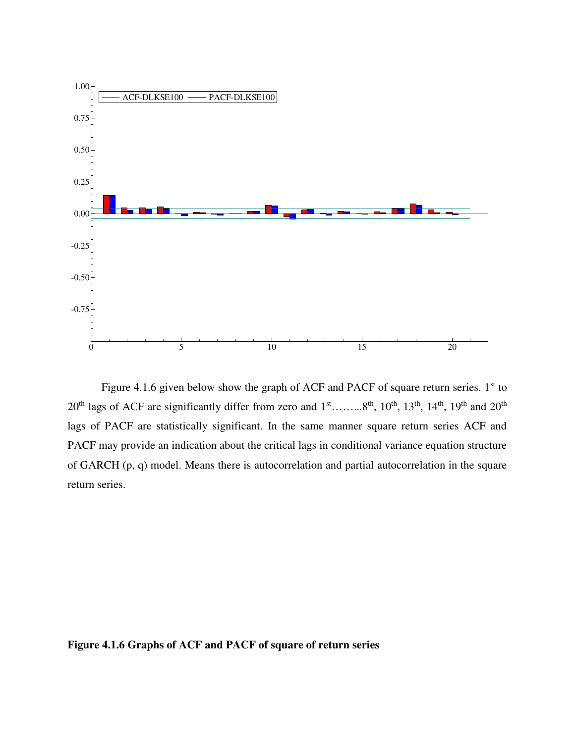

Figure 4.1.6 given below show the graph of ACF and PACF of square return series.  $1<sup>st</sup>$  to 20<sup>th</sup> lags of ACF are significantly differ from zero and 1<sup>st</sup>……...8<sup>th</sup>, 10<sup>th</sup>, 13<sup>th</sup>, 14<sup>th</sup>, 19<sup>th</sup> and 20<sup>th</sup> lags of PACF are statistically significant. In the same manner square return series ACF and PACF may provide an indication about the critical lags in conditional variance equation structure of GARCH (p, q) model. Means there is autocorrelation and partial autocorrelation in the square return series.

**Figure 4.1.6 Graphs of ACF and PACF of square of return series**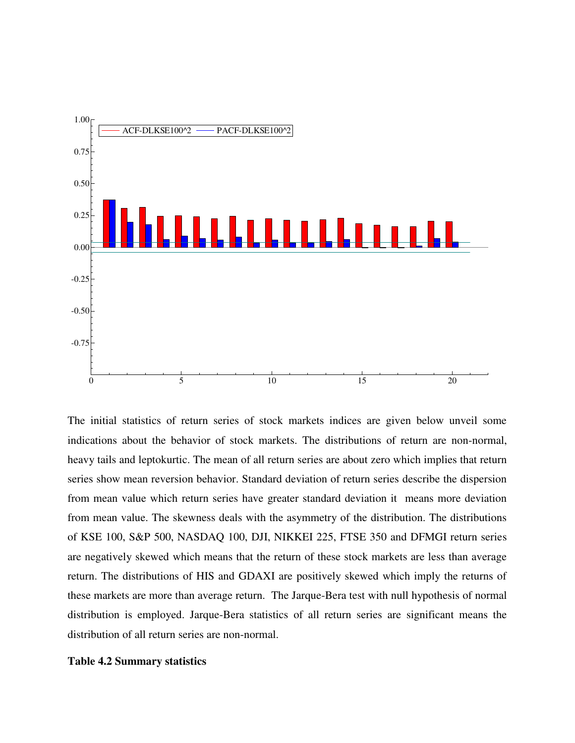

The initial statistics of return series of stock markets indices are given below unveil some indications about the behavior of stock markets. The distributions of return are non-normal, heavy tails and leptokurtic. The mean of all return series are about zero which implies that return series show mean reversion behavior. Standard deviation of return series describe the dispersion from mean value which return series have greater standard deviation it means more deviation from mean value. The skewness deals with the asymmetry of the distribution. The distributions of KSE 100, S&P 500, NASDAQ 100, DJI, NIKKEI 225, FTSE 350 and DFMGI return series are negatively skewed which means that the return of these stock markets are less than average return. The distributions of HIS and GDAXI are positively skewed which imply the returns of these markets are more than average return. The Jarque-Bera test with null hypothesis of normal distribution is employed. Jarque-Bera statistics of all return series are significant means the distribution of all return series are non-normal.

## **Table 4.2 Summary statistics**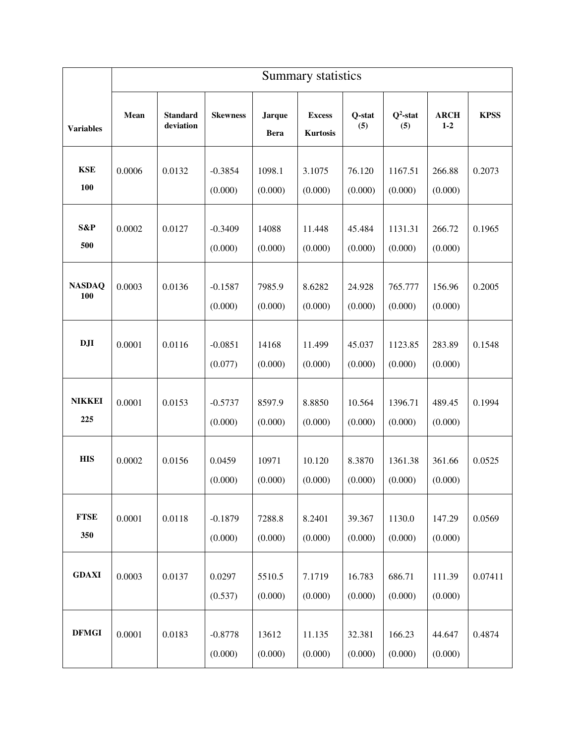|                      | Summary statistics |                              |                      |                              |                                  |                   |                    |                        |             |
|----------------------|--------------------|------------------------------|----------------------|------------------------------|----------------------------------|-------------------|--------------------|------------------------|-------------|
| <b>Variables</b>     | Mean               | <b>Standard</b><br>deviation | <b>Skewness</b>      | <b>Jarque</b><br><b>Bera</b> | <b>Excess</b><br><b>Kurtosis</b> | Q-stat<br>(5)     | $Q^2$ -stat<br>(5) | <b>ARCH</b><br>$1 - 2$ | <b>KPSS</b> |
| <b>KSE</b><br>100    | 0.0006             | 0.0132                       | $-0.3854$<br>(0.000) | 1098.1<br>(0.000)            | 3.1075<br>(0.000)                | 76.120<br>(0.000) | 1167.51<br>(0.000) | 266.88<br>(0.000)      | 0.2073      |
| S&P<br>500           | 0.0002             | 0.0127                       | $-0.3409$<br>(0.000) | 14088<br>(0.000)             | 11.448<br>(0.000)                | 45.484<br>(0.000) | 1131.31<br>(0.000) | 266.72<br>(0.000)      | 0.1965      |
| <b>NASDAQ</b><br>100 | 0.0003             | 0.0136                       | $-0.1587$<br>(0.000) | 7985.9<br>(0.000)            | 8.6282<br>(0.000)                | 24.928<br>(0.000) | 765.777<br>(0.000) | 156.96<br>(0.000)      | 0.2005      |
| DJI                  | 0.0001             | 0.0116                       | $-0.0851$<br>(0.077) | 14168<br>(0.000)             | 11.499<br>(0.000)                | 45.037<br>(0.000) | 1123.85<br>(0.000) | 283.89<br>(0.000)      | 0.1548      |
| <b>NIKKEI</b><br>225 | 0.0001             | 0.0153                       | $-0.5737$<br>(0.000) | 8597.9<br>(0.000)            | 8.8850<br>(0.000)                | 10.564<br>(0.000) | 1396.71<br>(0.000) | 489.45<br>(0.000)      | 0.1994      |
| <b>HIS</b>           | 0.0002             | 0.0156                       | 0.0459<br>(0.000)    | 10971<br>(0.000)             | 10.120<br>(0.000)                | 8.3870<br>(0.000) | 1361.38<br>(0.000) | 361.66<br>(0.000)      | 0.0525      |
| <b>FTSE</b><br>350   | 0.0001             | 0.0118                       | $-0.1879$<br>(0.000) | 7288.8<br>(0.000)            | 8.2401<br>(0.000)                | 39.367<br>(0.000) | 1130.0<br>(0.000)  | 147.29<br>(0.000)      | 0.0569      |
| <b>GDAXI</b>         | 0.0003             | 0.0137                       | 0.0297<br>(0.537)    | 5510.5<br>(0.000)            | 7.1719<br>(0.000)                | 16.783<br>(0.000) | 686.71<br>(0.000)  | 111.39<br>(0.000)      | 0.07411     |
| <b>DFMGI</b>         | 0.0001             | 0.0183                       | $-0.8778$<br>(0.000) | 13612<br>(0.000)             | 11.135<br>(0.000)                | 32.381<br>(0.000) | 166.23<br>(0.000)  | 44.647<br>(0.000)      | 0.4874      |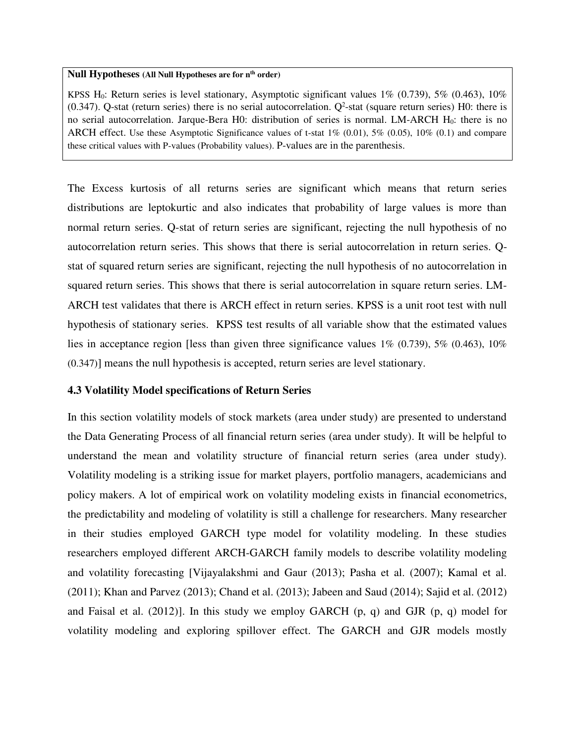#### **Null Hypotheses (All Null Hypotheses are for nth order)**

KPSS H<sub>0</sub>: Return series is level stationary, Asymptotic significant values  $1\%$  (0.739),  $5\%$  (0.463),  $10\%$  $(0.347)$ . Q-stat (return series) there is no serial autocorrelation. Q<sup>2</sup>-stat (square return series) H0: there is no serial autocorrelation. Jarque-Bera H0: distribution of series is normal. LM-ARCH H<sub>0</sub>: there is no ARCH effect. Use these Asymptotic Significance values of t-stat  $1\%$  (0.01),  $5\%$  (0.05),  $10\%$  (0.1) and compare these critical values with P-values (Probability values). P-values are in the parenthesis.

The Excess kurtosis of all returns series are significant which means that return series distributions are leptokurtic and also indicates that probability of large values is more than normal return series. Q-stat of return series are significant, rejecting the null hypothesis of no autocorrelation return series. This shows that there is serial autocorrelation in return series. Qstat of squared return series are significant, rejecting the null hypothesis of no autocorrelation in squared return series. This shows that there is serial autocorrelation in square return series. LM-ARCH test validates that there is ARCH effect in return series. KPSS is a unit root test with null hypothesis of stationary series. KPSS test results of all variable show that the estimated values lies in acceptance region [less than given three significance values 1% (0.739), 5% (0.463), 10% (0.347)] means the null hypothesis is accepted, return series are level stationary.

## **4.3 Volatility Model specifications of Return Series**

In this section volatility models of stock markets (area under study) are presented to understand the Data Generating Process of all financial return series (area under study). It will be helpful to understand the mean and volatility structure of financial return series (area under study). Volatility modeling is a striking issue for market players, portfolio managers, academicians and policy makers. A lot of empirical work on volatility modeling exists in financial econometrics, the predictability and modeling of volatility is still a challenge for researchers. Many researcher in their studies employed GARCH type model for volatility modeling. In these studies researchers employed different ARCH-GARCH family models to describe volatility modeling and volatility forecasting [Vijayalakshmi and Gaur (2013); Pasha et al. (2007); Kamal et al. (2011); Khan and Parvez (2013); Chand et al. (2013); Jabeen and Saud (2014); Sajid et al. (2012) and Faisal et al. (2012)]. In this study we employ GARCH  $(p, q)$  and GJR  $(p, q)$  model for volatility modeling and exploring spillover effect. The GARCH and GJR models mostly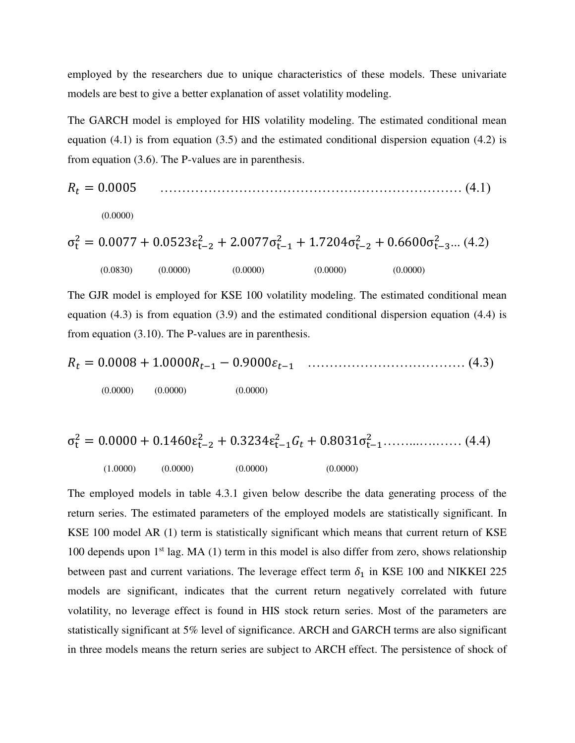employed by the researchers due to unique characteristics of these models. These univariate models are best to give a better explanation of asset volatility modeling.

The GARCH model is employed for HIS volatility modeling. The estimated conditional mean equation (4.1) is from equation (3.5) and the estimated conditional dispersion equation (4.2) is from equation (3.6). The P-values are in parenthesis.

$$
R_t = 0.0005
$$
\n(4.1)  
\n(0.0000)  
\n
$$
\sigma_t^2 = 0.0077 + 0.0523 \varepsilon_{t-2}^2 + 2.0077 \sigma_{t-1}^2 + 1.7204 \sigma_{t-2}^2 + 0.6600 \sigma_{t-3}^2 ... (4.2)
$$
\n(0.0830)  
\n(0.0000)  
\n(0.0000)  
\n(0.0000)  
\n(0.0000)  
\n(0.0000)  
\n(0.0000)

The GJR model is employed for KSE 100 volatility modeling. The estimated conditional mean equation (4.3) is from equation (3.9) and the estimated conditional dispersion equation (4.4) is from equation (3.10). The P-values are in parenthesis.

$$
R_t = 0.0008 + 1.0000R_{t-1} - 0.9000\epsilon_{t-1} \quad \dots \quad \dots \quad \dots \quad \dots \quad (4.3)
$$
  
(0.0000) (0.0000) (0.0000)

$$
\sigma_t^2 = 0.0000 + 0.1460 \varepsilon_{t-2}^2 + 0.3234 \varepsilon_{t-1}^2 G_t + 0.8031 \sigma_{t-1}^2 \dots \dots \dots \dots \dots \dots \tag{4.4}
$$
\n
$$
(1.0000) \quad (0.0000) \quad (0.0000) \quad (0.0000)
$$

The employed models in table 4.3.1 given below describe the data generating process of the return series. The estimated parameters of the employed models are statistically significant. In KSE 100 model AR (1) term is statistically significant which means that current return of KSE 100 depends upon  $1<sup>st</sup>$  lag. MA (1) term in this model is also differ from zero, shows relationship between past and current variations. The leverage effect term  $\delta_1$  in KSE 100 and NIKKEI 225 models are significant, indicates that the current return negatively correlated with future volatility, no leverage effect is found in HIS stock return series. Most of the parameters are statistically significant at 5% level of significance. ARCH and GARCH terms are also significant in three models means the return series are subject to ARCH effect. The persistence of shock of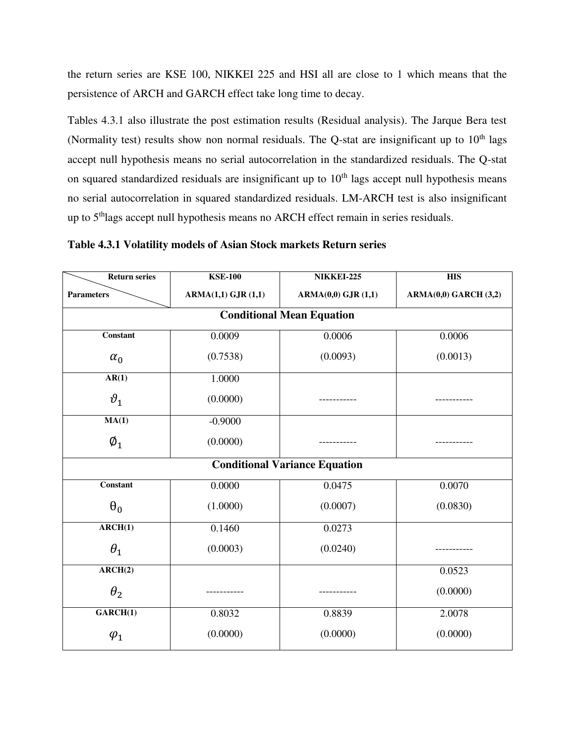the return series are KSE 100, NIKKEI 225 and HSI all are close to 1 which means that the persistence of ARCH and GARCH effect take long time to decay.

Tables 4.3.1 also illustrate the post estimation results (Residual analysis). The Jarque Bera test (Normality test) results show non normal residuals. The Q-stat are insignificant up to  $10<sup>th</sup>$  lags accept null hypothesis means no serial autocorrelation in the standardized residuals. The Q-stat on squared standardized residuals are insignificant up to  $10<sup>th</sup>$  lags accept null hypothesis means no serial autocorrelation in squared standardized residuals. LM-ARCH test is also insignificant up to 5<sup>th</sup>lags accept null hypothesis means no ARCH effect remain in series residuals.

| Table 4.3.1 Volatility models of Asian Stock markets Return series |  |  |  |
|--------------------------------------------------------------------|--|--|--|
|                                                                    |  |  |  |

| <b>Return series</b>        | <b>KSE-100</b>     | NIKKEI-225                           | <b>HIS</b>           |
|-----------------------------|--------------------|--------------------------------------|----------------------|
| <b>Parameters</b>           | ARMA(1,1) GJR(1,1) | ARMA(0,0) GJR(1,1)                   | ARMA(0,0) GARCH(3,2) |
|                             |                    | <b>Conditional Mean Equation</b>     |                      |
| <b>Constant</b>             | 0.0009             | 0.0006                               | 0.0006               |
| $\alpha_0$                  | (0.7538)           | (0.0093)                             | (0.0013)             |
| AR(1)                       | 1.0000             |                                      |                      |
| $\vartheta_1$               | (0.0000)           |                                      |                      |
| MA(1)                       | $-0.9000$          |                                      |                      |
| $\emptyset_1$               | (0.0000)           |                                      |                      |
|                             |                    | <b>Conditional Variance Equation</b> |                      |
| Constant                    | 0.0000             | 0.0475                               | 0.0070               |
| $\theta_0$                  | (1.0000)           | (0.0007)                             | (0.0830)             |
| $\overline{\text{ARCH}(1)}$ | 0.1460             | 0.0273                               |                      |
| $\theta_1$                  | (0.0003)           | (0.0240)                             |                      |
| ARCH(2)                     |                    |                                      | 0.0523               |
| $\theta_2$                  |                    |                                      | (0.0000)             |
| GARCH(1)                    | 0.8032             | 0.8839                               | 2.0078               |
| $\varphi_1$                 | (0.0000)           | (0.0000)                             | (0.0000)             |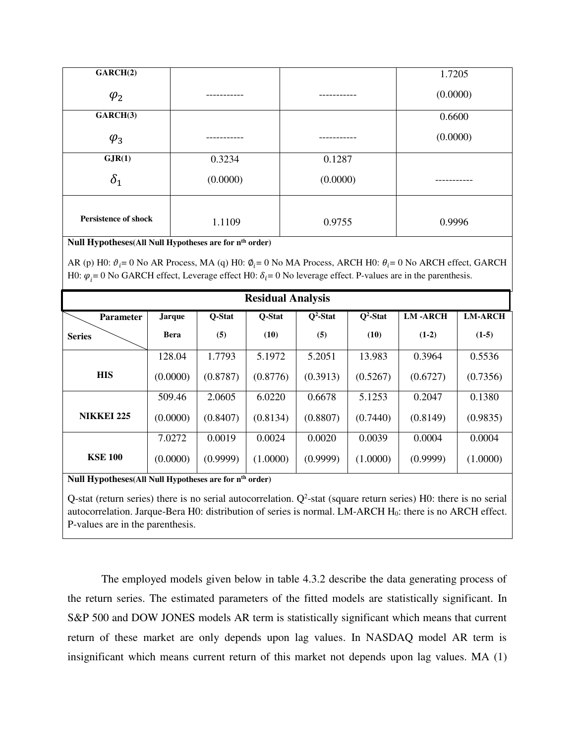| GARCH(2)                    |          |          | 1.7205   |
|-----------------------------|----------|----------|----------|
| $\varphi_2$                 |          |          | (0.0000) |
| GARCH(3)                    |          |          | 0.6600   |
| $\varphi_3$                 |          |          | (0.0000) |
| GJR(1)                      | 0.3234   | 0.1287   |          |
| $\delta_1$                  | (0.0000) | (0.0000) |          |
| <b>Persistence of shock</b> | 1.1109   | 0.9755   | 0.9996   |

**Null Hypotheses(All Null Hypotheses are for nth order)** 

AR (p) H0:  $\vartheta_i = 0$  No AR Process, MA (q) H0:  $\vartheta_i = 0$  No MA Process, ARCH H0:  $\theta_i = 0$  No ARCH effect, GARCH H0:  $\varphi_i = 0$  No GARCH effect, Leverage effect H0:  $\delta_i = 0$  No leverage effect. P-values are in the parenthesis.

| <b>Residual Analysis</b> |               |          |          |             |             |                |                |  |
|--------------------------|---------------|----------|----------|-------------|-------------|----------------|----------------|--|
| <b>Parameter</b>         | <b>Jarque</b> | O-Stat   | O-Stat   | $Q^2$ -Stat | $Q^2$ -Stat | <b>LM-ARCH</b> | <b>LM-ARCH</b> |  |
| <b>Series</b>            | <b>Bera</b>   | (5)      | (10)     | (5)         | (10)        | $(1-2)$        | $(1-5)$        |  |
|                          | 128.04        | 1.7793   | 5.1972   | 5.2051      | 13.983      | 0.3964         | 0.5536         |  |
| <b>HIS</b>               | (0.0000)      | (0.8787) | (0.8776) | (0.3913)    | (0.5267)    | (0.6727)       | (0.7356)       |  |
|                          | 509.46        | 2.0605   | 6.0220   | 0.6678      | 5.1253      | 0.2047         | 0.1380         |  |
| <b>NIKKEI 225</b>        | (0.0000)      | (0.8407) | (0.8134) | (0.8807)    | (0.7440)    | (0.8149)       | (0.9835)       |  |
|                          | 7.0272        | 0.0019   | 0.0024   | 0.0020      | 0.0039      | 0.0004         | 0.0004         |  |
| <b>KSE 100</b>           | (0.0000)      | (0.9999) | (1.0000) | (0.9999)    | (1.0000)    | (0.9999)       | (1.0000)       |  |

**Null Hypotheses(All Null Hypotheses are for nth order)**

Q-stat (return series) there is no serial autocorrelation.  $Q^2$ -stat (square return series) H0: there is no serial autocorrelation. Jarque-Bera H0: distribution of series is normal. LM-ARCH H0: there is no ARCH effect. P-values are in the parenthesis.

The employed models given below in table 4.3.2 describe the data generating process of the return series. The estimated parameters of the fitted models are statistically significant. In S&P 500 and DOW JONES models AR term is statistically significant which means that current return of these market are only depends upon lag values. In NASDAQ model AR term is insignificant which means current return of this market not depends upon lag values. MA (1)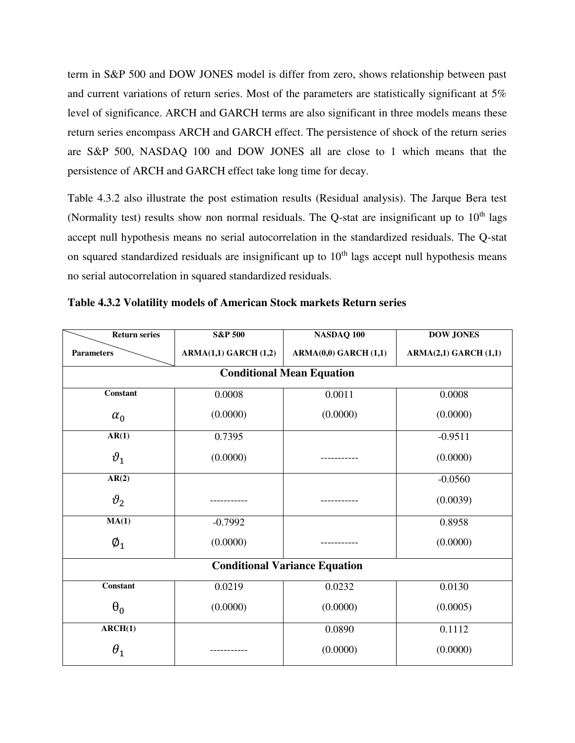term in S&P 500 and DOW JONES model is differ from zero, shows relationship between past and current variations of return series. Most of the parameters are statistically significant at 5% level of significance. ARCH and GARCH terms are also significant in three models means these return series encompass ARCH and GARCH effect. The persistence of shock of the return series are S&P 500, NASDAQ 100 and DOW JONES all are close to 1 which means that the persistence of ARCH and GARCH effect take long time for decay.

Table 4.3.2 also illustrate the post estimation results (Residual analysis). The Jarque Bera test (Normality test) results show non normal residuals. The Q-stat are insignificant up to  $10<sup>th</sup>$  lags accept null hypothesis means no serial autocorrelation in the standardized residuals. The Q-stat on squared standardized residuals are insignificant up to  $10<sup>th</sup>$  lags accept null hypothesis means no serial autocorrelation in squared standardized residuals.

| <b>Return series</b>             | <b>S&amp;P 500</b>   | NASDAQ 100                           | <b>DOW JONES</b>     |  |  |  |  |  |
|----------------------------------|----------------------|--------------------------------------|----------------------|--|--|--|--|--|
| <b>Parameters</b>                | ARMA(1,1) GARCH(1,2) | ARMA(0,0) GARCH(1,1)                 | ARMA(2,1) GARCH(1,1) |  |  |  |  |  |
| <b>Conditional Mean Equation</b> |                      |                                      |                      |  |  |  |  |  |
| Constant                         | 0.0008               | 0.0011                               | 0.0008               |  |  |  |  |  |
| $\alpha_0$                       | (0.0000)             | (0.0000)                             | (0.0000)             |  |  |  |  |  |
| AR(1)                            | 0.7395               |                                      | $-0.9511$            |  |  |  |  |  |
| $\vartheta_1$                    | (0.0000)             |                                      | (0.0000)             |  |  |  |  |  |
| AR(2)                            |                      |                                      | $-0.0560$            |  |  |  |  |  |
| $\vartheta_2$                    |                      |                                      | (0.0039)             |  |  |  |  |  |
| MA(1)                            | $-0.7992$            |                                      | 0.8958               |  |  |  |  |  |
| $\emptyset_1$                    | (0.0000)             |                                      | (0.0000)             |  |  |  |  |  |
|                                  |                      | <b>Conditional Variance Equation</b> |                      |  |  |  |  |  |
| Constant                         | 0.0219               | 0.0232                               | 0.0130               |  |  |  |  |  |
| $\theta_0$                       | (0.0000)             | (0.0000)                             | (0.0005)             |  |  |  |  |  |
| ARCH(1)                          |                      | 0.0890                               | 0.1112               |  |  |  |  |  |
| $\theta_1$                       |                      | (0.0000)                             | (0.0000)             |  |  |  |  |  |

**Table 4.3.2 Volatility models of American Stock markets Return series**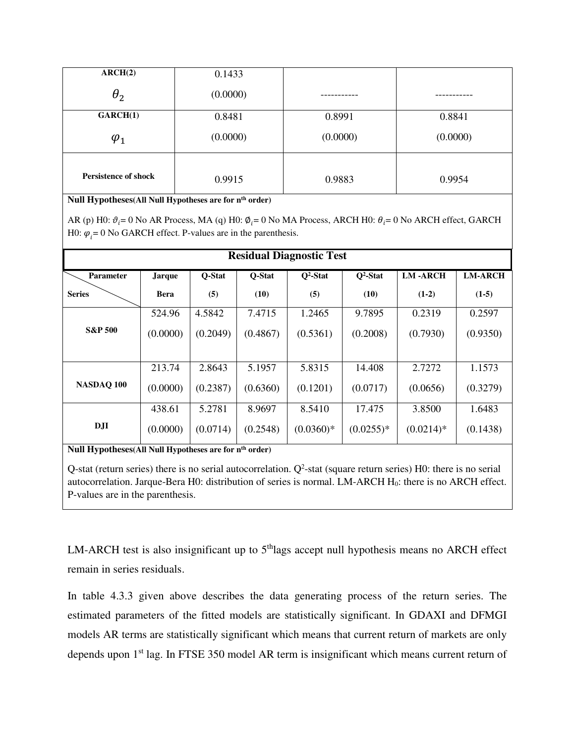| ARCH(2)                     | 0.1433   |          |          |  |
|-----------------------------|----------|----------|----------|--|
| $\theta_2$                  | (0.0000) |          |          |  |
| GARCH(1)                    | 0.8481   | 0.8991   | 0.8841   |  |
| $\varphi_1$                 | (0.0000) | (0.0000) | (0.0000) |  |
| <b>Persistence of shock</b> | 0.9915   | 0.9883   | 0.9954   |  |

**Null Hypotheses(All Null Hypotheses are for nth order)** 

AR (p) H0:  $\vartheta_i = 0$  No AR Process, MA (q) H0:  $\varphi_i = 0$  No MA Process, ARCH H0:  $\theta_i = 0$  No ARCH effect, GARCH H0:  $\varphi_i = 0$  No GARCH effect. P-values are in the parenthesis.

| <b>Residual Diagnostic Test</b> |               |          |          |             |             |                |                |  |  |
|---------------------------------|---------------|----------|----------|-------------|-------------|----------------|----------------|--|--|
| Parameter                       | <b>Jarque</b> | O-Stat   | Q-Stat   | $Q2$ -Stat  | $Q2$ -Stat  | <b>LM-ARCH</b> | <b>LM-ARCH</b> |  |  |
| <b>Series</b>                   | <b>Bera</b>   | (5)      | (10)     | (5)         | (10)        | $(1-2)$        | $(1-5)$        |  |  |
|                                 | 524.96        | 4.5842   | 7.4715   | 1.2465      | 9.7895      | 0.2319         | 0.2597         |  |  |
| <b>S&amp;P 500</b>              | (0.0000)      | (0.2049) | (0.4867) | (0.5361)    | (0.2008)    | (0.7930)       | (0.9350)       |  |  |
|                                 |               |          |          |             |             |                |                |  |  |
|                                 | 213.74        | 2.8643   | 5.1957   | 5.8315      | 14.408      | 2.7272         | 1.1573         |  |  |
| NASDAQ 100                      | (0.0000)      | (0.2387) | (0.6360) | (0.1201)    | (0.0717)    | (0.0656)       | (0.3279)       |  |  |
|                                 | 438.61        | 5.2781   | 8.9697   | 8.5410      | 17.475      | 3.8500         | 1.6483         |  |  |
| D <sub>J</sub> I                | (0.0000)      | (0.0714) | (0.2548) | $(0.0360)*$ | $(0.0255)*$ | $(0.0214)*$    | (0.1438)       |  |  |

**Null Hypotheses(All Null Hypotheses are for nth order)**

Q-stat (return series) there is no serial autocorrelation.  $Q^2$ -stat (square return series) H0: there is no serial autocorrelation. Jarque-Bera H0: distribution of series is normal. LM-ARCH H0: there is no ARCH effect. P-values are in the parenthesis.

LM-ARCH test is also insignificant up to 5<sup>th</sup>lags accept null hypothesis means no ARCH effect remain in series residuals.

In table 4.3.3 given above describes the data generating process of the return series. The estimated parameters of the fitted models are statistically significant. In GDAXI and DFMGI models AR terms are statistically significant which means that current return of markets are only depends upon 1<sup>st</sup> lag. In FTSE 350 model AR term is insignificant which means current return of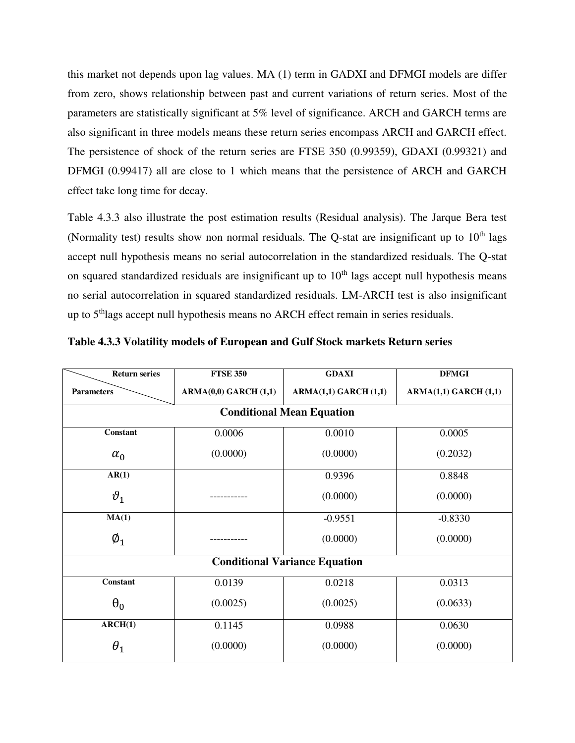this market not depends upon lag values. MA (1) term in GADXI and DFMGI models are differ from zero, shows relationship between past and current variations of return series. Most of the parameters are statistically significant at 5% level of significance. ARCH and GARCH terms are also significant in three models means these return series encompass ARCH and GARCH effect. The persistence of shock of the return series are FTSE 350 (0.99359), GDAXI (0.99321) and DFMGI (0.99417) all are close to 1 which means that the persistence of ARCH and GARCH effect take long time for decay.

Table 4.3.3 also illustrate the post estimation results (Residual analysis). The Jarque Bera test (Normality test) results show non normal residuals. The Q-stat are insignificant up to  $10<sup>th</sup>$  lags accept null hypothesis means no serial autocorrelation in the standardized residuals. The Q-stat on squared standardized residuals are insignificant up to  $10<sup>th</sup>$  lags accept null hypothesis means no serial autocorrelation in squared standardized residuals. LM-ARCH test is also insignificant up to 5<sup>th</sup>lags accept null hypothesis means no ARCH effect remain in series residuals.

| <b>Return series</b> | <b>FTSE 350</b>      |                                      | <b>DFMGI</b>         |  |  |
|----------------------|----------------------|--------------------------------------|----------------------|--|--|
| <b>Parameters</b>    | ARMA(0,0) GARCH(1,1) | <b>ARMA(1,1) GARCH (1,1)</b>         | ARMA(1,1) GARCH(1,1) |  |  |
|                      |                      | <b>Conditional Mean Equation</b>     |                      |  |  |
| Constant             | 0.0006               | 0.0010                               | 0.0005               |  |  |
| $\alpha_0$           | (0.0000)             | (0.0000)                             | (0.2032)             |  |  |
| AR(1)                |                      | 0.9396                               | 0.8848               |  |  |
| $\vartheta_1$        |                      | (0.0000)                             | (0.0000)             |  |  |
| MA(1)                |                      | $-0.9551$                            | $-0.8330$            |  |  |
| $\emptyset_1$        |                      | (0.0000)                             | (0.0000)             |  |  |
|                      |                      | <b>Conditional Variance Equation</b> |                      |  |  |
| <b>Constant</b>      | 0.0139               | 0.0218                               | 0.0313               |  |  |
| $\theta_0$           | (0.0025)             | (0.0025)                             | (0.0633)             |  |  |
| ARCH(1)              | 0.1145               | 0.0988                               | 0.0630               |  |  |
| $\theta_1$           | (0.0000)             | (0.0000)                             | (0.0000)             |  |  |

**Table 4.3.3 Volatility models of European and Gulf Stock markets Return series**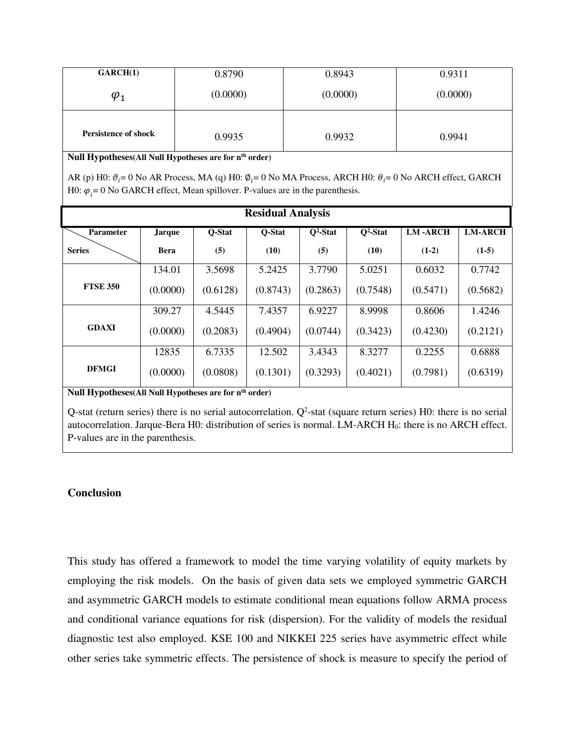| GARCH(1)                    | 0.8790   | 0.8943   | 0.9311   |
|-----------------------------|----------|----------|----------|
| $\varphi_1$                 | (0.0000) | (0.0000) | (0.0000) |
| <b>Persistence of shock</b> | 0.9935   | 0.9932   | 0.9941   |

**Null Hypotheses(All Null Hypotheses are for nth order)** 

AR (p) H0:  $\vartheta_i = 0$  No AR Process, MA (q) H0:  $\vartheta_i = 0$  No MA Process, ARCH H0:  $\theta_i = 0$  No ARCH effect, GARCH H0:  $\varphi_i = 0$  No GARCH effect, Mean spillover. P-values are in the parenthesis.

| <b>Residual Analysis</b> |               |          |          |             |             |                |                |  |
|--------------------------|---------------|----------|----------|-------------|-------------|----------------|----------------|--|
| <b>Parameter</b>         | <b>Jarque</b> | Q-Stat   | O-Stat   | $Q^2$ -Stat | $Q^2$ -Stat | <b>LM-ARCH</b> | <b>LM-ARCH</b> |  |
| <b>Series</b>            | <b>Bera</b>   | (5)      | (10)     | (5)         | (10)        | $(1-2)$        | $(1-5)$        |  |
|                          | 134.01        | 3.5698   | 5.2425   | 3.7790      | 5.0251      | 0.6032         | 0.7742         |  |
| <b>FTSE 350</b>          | (0.0000)      | (0.6128) | (0.8743) | (0.2863)    | (0.7548)    | (0.5471)       | (0.5682)       |  |
|                          | 309.27        | 4.5445   | 7.4357   | 6.9227      | 8.9998      | 0.8606         | 1.4246         |  |
| <b>GDAXI</b>             | (0.0000)      | (0.2083) | (0.4904) | (0.0744)    | (0.3423)    | (0.4230)       | (0.2121)       |  |
|                          | 12835         | 6.7335   | 12.502   | 3.4343      | 8.3277      | 0.2255         | 0.6888         |  |
| <b>DFMGI</b>             | (0.0000)      | (0.0808) | (0.1301) | (0.3293)    | (0.4021)    | (0.7981)       | (0.6319)       |  |

**Null Hypotheses(All Null Hypotheses are for nth order)**

Q-stat (return series) there is no serial autocorrelation.  $Q^2$ -stat (square return series) H0: there is no serial autocorrelation. Jarque-Bera H0: distribution of series is normal. LM-ARCH H0: there is no ARCH effect. P-values are in the parenthesis.

## **Conclusion**

This study has offered a framework to model the time varying volatility of equity markets by employing the risk models. On the basis of given data sets we employed symmetric GARCH and asymmetric GARCH models to estimate conditional mean equations follow ARMA process and conditional variance equations for risk (dispersion). For the validity of models the residual diagnostic test also employed. KSE 100 and NIKKEI 225 series have asymmetric effect while other series take symmetric effects. The persistence of shock is measure to specify the period of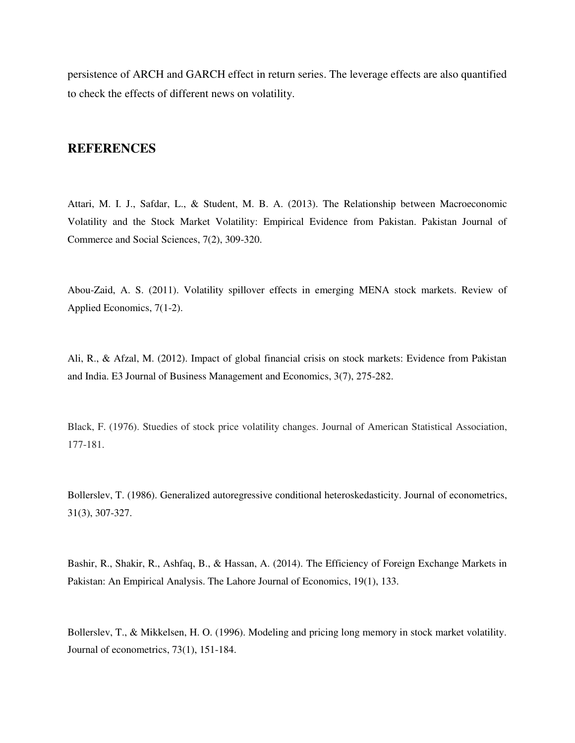persistence of ARCH and GARCH effect in return series. The leverage effects are also quantified to check the effects of different news on volatility.

## **REFERENCES**

Attari, M. I. J., Safdar, L., & Student, M. B. A. (2013). The Relationship between Macroeconomic Volatility and the Stock Market Volatility: Empirical Evidence from Pakistan. Pakistan Journal of Commerce and Social Sciences, 7(2), 309-320.

Abou-Zaid, A. S. (2011). Volatility spillover effects in emerging MENA stock markets. Review of Applied Economics, 7(1-2).

Ali, R., & Afzal, M. (2012). Impact of global financial crisis on stock markets: Evidence from Pakistan and India. E3 Journal of Business Management and Economics, 3(7), 275-282.

Black, F. (1976). Stuedies of stock price volatility changes. Journal of American Statistical Association, 177-181.

Bollerslev, T. (1986). Generalized autoregressive conditional heteroskedasticity. Journal of econometrics, 31(3), 307-327.

Bashir, R., Shakir, R., Ashfaq, B., & Hassan, A. (2014). The Efficiency of Foreign Exchange Markets in Pakistan: An Empirical Analysis. The Lahore Journal of Economics, 19(1), 133.

Bollerslev, T., & Mikkelsen, H. O. (1996). Modeling and pricing long memory in stock market volatility. Journal of econometrics, 73(1), 151-184.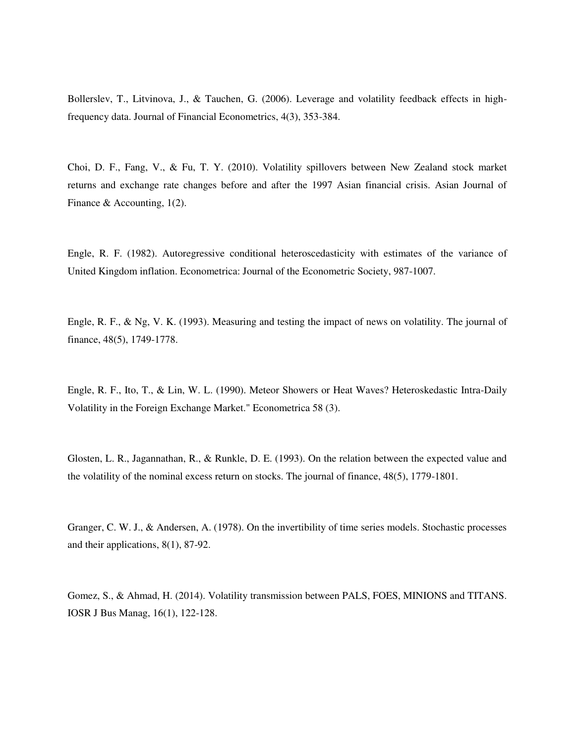Bollerslev, T., Litvinova, J., & Tauchen, G. (2006). Leverage and volatility feedback effects in highfrequency data. Journal of Financial Econometrics, 4(3), 353-384.

Choi, D. F., Fang, V., & Fu, T. Y. (2010). Volatility spillovers between New Zealand stock market returns and exchange rate changes before and after the 1997 Asian financial crisis. Asian Journal of Finance & Accounting, 1(2).

Engle, R. F. (1982). Autoregressive conditional heteroscedasticity with estimates of the variance of United Kingdom inflation. Econometrica: Journal of the Econometric Society, 987-1007.

Engle, R. F., & Ng, V. K. (1993). Measuring and testing the impact of news on volatility. The journal of finance, 48(5), 1749-1778.

Engle, R. F., Ito, T., & Lin, W. L. (1990). Meteor Showers or Heat Waves? Heteroskedastic Intra-Daily Volatility in the Foreign Exchange Market." Econometrica 58 (3).

Glosten, L. R., Jagannathan, R., & Runkle, D. E. (1993). On the relation between the expected value and the volatility of the nominal excess return on stocks. The journal of finance, 48(5), 1779-1801.

Granger, C. W. J., & Andersen, A. (1978). On the invertibility of time series models. Stochastic processes and their applications, 8(1), 87-92.

Gomez, S., & Ahmad, H. (2014). Volatility transmission between PALS, FOES, MINIONS and TITANS. IOSR J Bus Manag, 16(1), 122-128.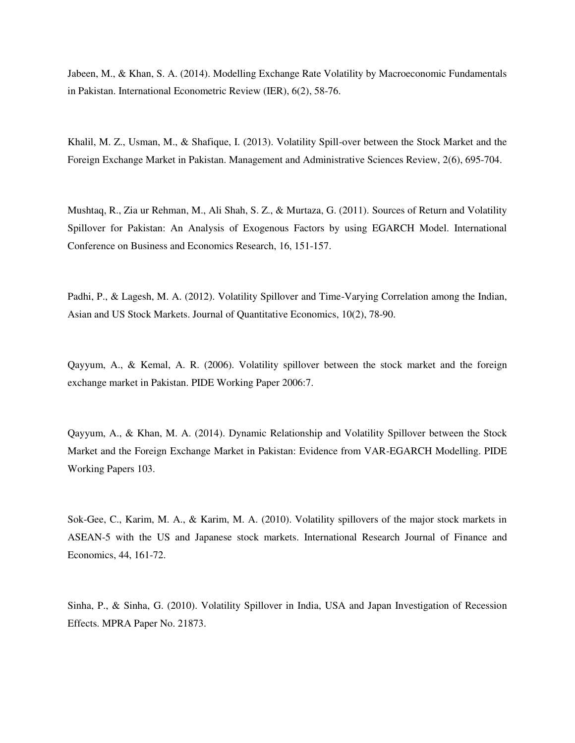Jabeen, M., & Khan, S. A. (2014). Modelling Exchange Rate Volatility by Macroeconomic Fundamentals in Pakistan. International Econometric Review (IER), 6(2), 58-76.

Khalil, M. Z., Usman, M., & Shafique, I. (2013). Volatility Spill-over between the Stock Market and the Foreign Exchange Market in Pakistan. Management and Administrative Sciences Review, 2(6), 695-704.

Mushtaq, R., Zia ur Rehman, M., Ali Shah, S. Z., & Murtaza, G. (2011). Sources of Return and Volatility Spillover for Pakistan: An Analysis of Exogenous Factors by using EGARCH Model. International Conference on Business and Economics Research, 16, 151-157.

Padhi, P., & Lagesh, M. A. (2012). Volatility Spillover and Time-Varying Correlation among the Indian, Asian and US Stock Markets. Journal of Quantitative Economics, 10(2), 78-90.

Qayyum, A., & Kemal, A. R. (2006). Volatility spillover between the stock market and the foreign exchange market in Pakistan. PIDE Working Paper 2006:7.

Qayyum, A., & Khan, M. A. (2014). Dynamic Relationship and Volatility Spillover between the Stock Market and the Foreign Exchange Market in Pakistan: Evidence from VAR-EGARCH Modelling. PIDE Working Papers 103.

Sok-Gee, C., Karim, M. A., & Karim, M. A. (2010). Volatility spillovers of the major stock markets in ASEAN-5 with the US and Japanese stock markets. International Research Journal of Finance and Economics, 44, 161-72.

Sinha, P., & Sinha, G. (2010). Volatility Spillover in India, USA and Japan Investigation of Recession Effects. MPRA Paper No. 21873.